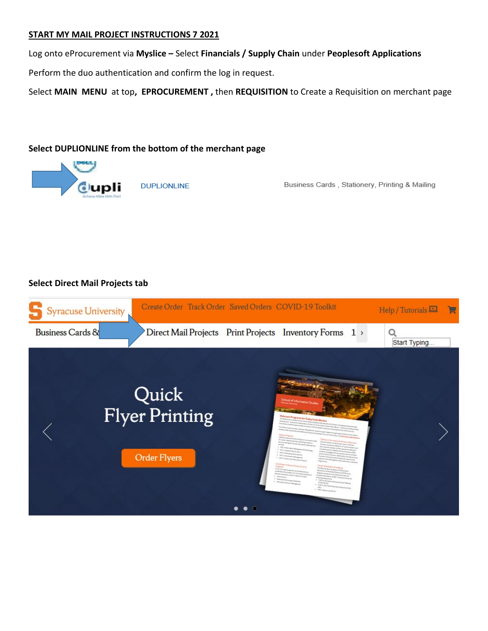### **START MY MAIL PROJECT INSTRUCTIONS 7 2021**

Log onto eProcurement via **Myslice –** Select **Financials / Supply Chain** under **Peoplesoft Applications**

Perform the duo authentication and confirm the log in request.

Select **MAIN MENU** at top**, EPROCUREMENT ,** then **REQUISITION** to Create a Requisition on merchant page

### **Select DUPLIONLINE from the bottom of the merchant page**



**DUPLIONLINE** 

Business Cards, Stationery, Printing & Mailing

### **Select Direct Mail Projects tab**

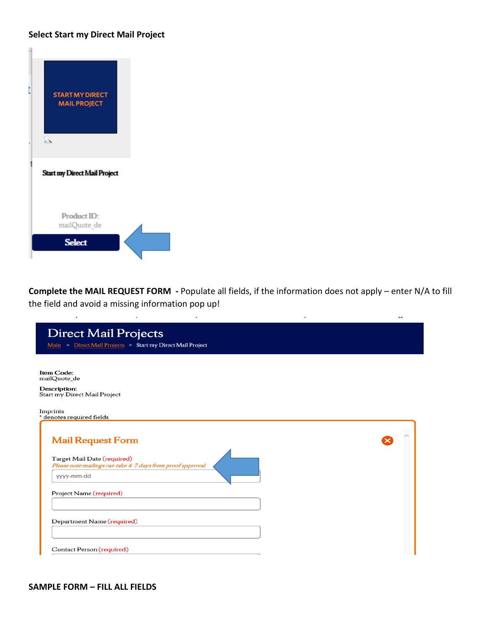### **Select Start my Direct Mail Project**



 $\mathcal{L}_{\mathcal{A}}$ 

 $\lambda$ 

**Complete the MAIL REQUEST FORM -** Populate all fields, if the information does not apply – enter N/A to fill the field and avoid a missing information pop up!

 $\epsilon$ 

 $\overline{\phantom{a}}$ 

 $\sim$ 

| <b>Direct Mail Projects</b><br>Main > Direct Mail Projects > Start my Direct Mail Project |  |
|-------------------------------------------------------------------------------------------|--|
|                                                                                           |  |
| Item Code:<br>mailQuote de                                                                |  |
| Description:<br>Start my Direct Mail Project                                              |  |
| Imprints<br>* denotes required fields                                                     |  |
| <b>Mail Request Form</b><br>Target Mail Date (required)                                   |  |
| Please note mailings can take 4-7 days from proof approval.<br>yyyy-mm-dd                 |  |
| Project Name (required)                                                                   |  |
| Department Name (required)                                                                |  |
| Contact Person (required)                                                                 |  |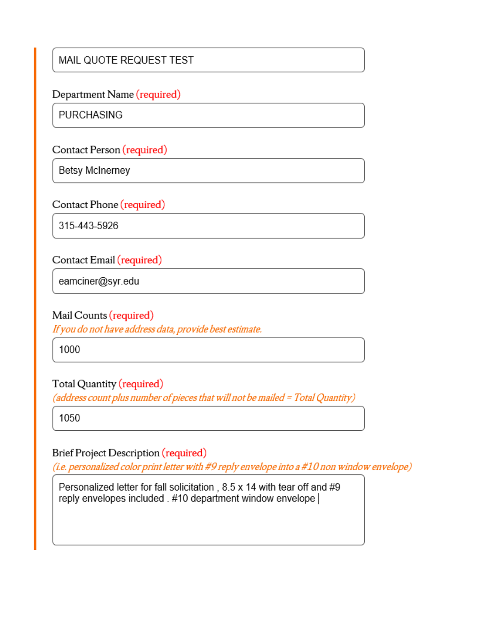# MAIL QUOTE REQUEST TEST

## Department Name (required)

**PURCHASING** 

Contact Person (required)

**Betsy McInerney** 

Contact Phone (required)

315-443-5926

# Contact Email (required)

eamciner@syr.edu

## Mail Counts (required)

If you do not have address data, provide best estimate.

1000

# Total Quantity (required)

(address count plus number of pieces that will not be mailed = Total Quantity)

1050

# Brief Project Description (required)

(i.e. personalized color print letter with #9 reply envelope into a #10 non window envelope)

Personalized letter for fall solicitation, 8.5 x 14 with tear off and #9 reply envelopes included . #10 department window envelope |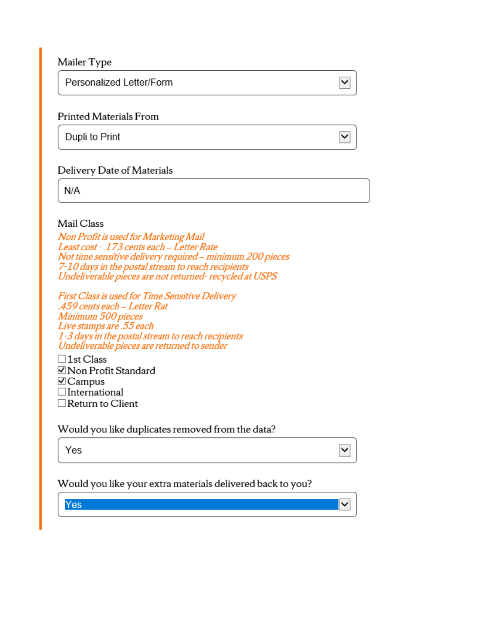Mailer Type

Personalized Letter/Form

## **Printed Materials From**

Dupli to Print

## Delivery Date of Materials

 $N/A$ 

### Mail Class

Non Profit is used for Marketing Mail Least cost - .173 cents each - Letter Rate Not time sensitive delivery required - minimum 200 pieces 7-10 days in the postal stream to reach recipients Undeliverable pieces are not returned-recycled at USPS

 $\overline{\mathsf{v}}$ 

 $\checkmark$ 

∽∣

 $\checkmark$ 

First Class is used for Time Sensitive Delivery .459 cents each - Letter Rat Minimum 500 pieces Live stamps are .55 each 1–3 days in the postal stream to reach recipients<br>Undeliverable pieces are returned to sender

 $\Box$ 1st Class ⊠ Non Profit Standard  $\triangledown$  Campus  $\Box$ International  $\Box$  Return to Client

## Would you like duplicates removed from the data?

Yes

### Would you like your extra materials delivered back to you?

Yes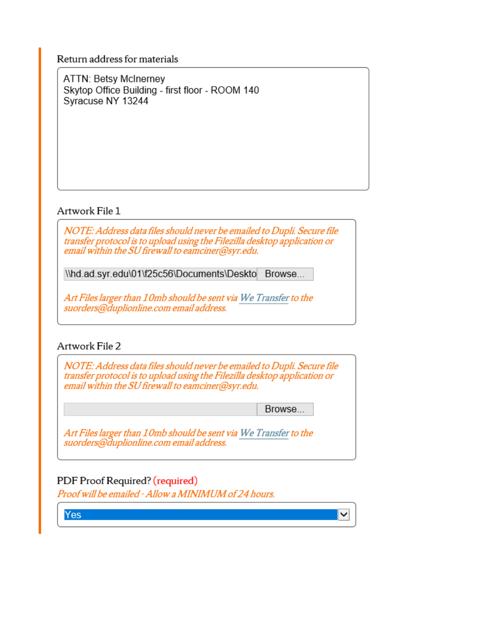Return address for materials

**ATTN: Betsy McInerney** Skytop Office Building - first floor - ROOM 140 Syracuse NY 13244

## Artwork File 1

NOTE: Address data files should never be emailed to Dupli. Secure file transfer protocol is to upload using the Filezilla desktop application or email within the SU firewall to eamciner@syr.edu.

\\hd.ad.syr.edu\01\f25c56\Documents\Deskto Browse...

Art Files larger than 10mb should be sent via We Transfer to the suorders@duplionline.com email address.

## Artwork File 2

NOTE: Address data files should never be emailed to Dupli. Secure file transfer protocol is to upload using the Filezilla desktop application or email within the SU firewall to eamciner@syr.edu.

Browse...

 $\checkmark$ 

Art Files larger than 10mb should be sent via We Transfer to the suorders@duplionline.com email address.

# PDF Proof Required? (required)

Proof will be emailed - Allow a MINIMUM of 24 hours.

Yes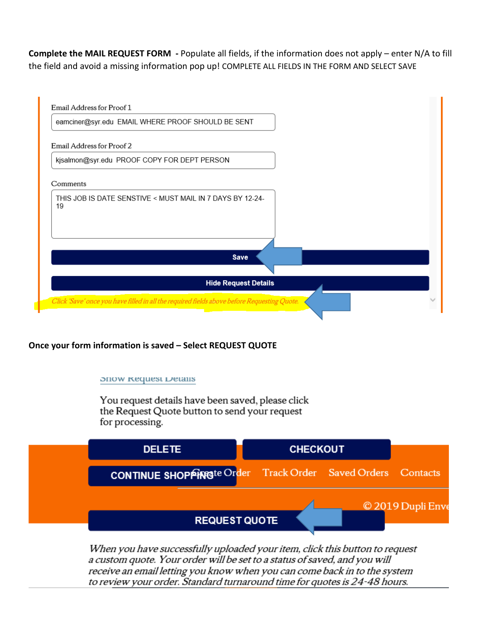**Complete the MAIL REQUEST FORM -** Populate all fields, if the information does not apply – enter N/A to fill the field and avoid a missing information pop up! COMPLETE ALL FIELDS IN THE FORM AND SELECT SAVE



**Once your form information is saved – Select REQUEST QUOTE** 

### **SHOW Request Details**

You request details have been saved, please click the Request Quote button to send your request for processing.



When you have successfully uploaded your item, click this button to request a custom quote. Your order will be set to a status of saved, and you will receive an email letting you know when you can come back in to the system to review your order. Standard turnaround time for quotes is 24-48 hours.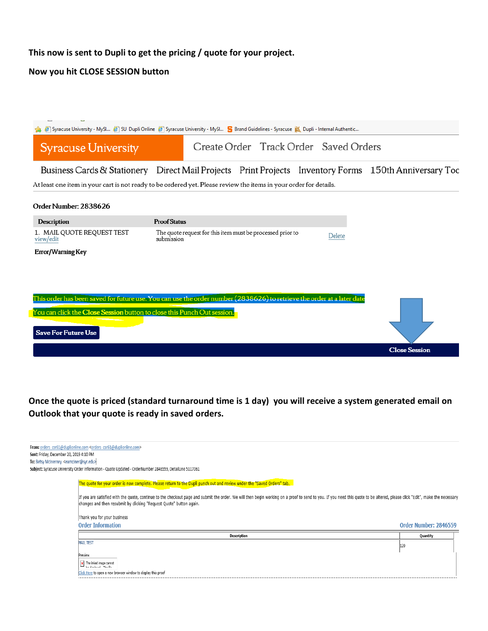## **This now is sent to Dupli to get the pricing / quote for your project.**

## **Now you hit CLOSE SESSION button**

|                                                                         | Syracuse University - MySl 3U Dupli Online 3 Syracuse University - MySl S Brand Guidelines - Syracuse X Dupli - Internal Authentic |                      |
|-------------------------------------------------------------------------|------------------------------------------------------------------------------------------------------------------------------------|----------------------|
| <b>Syracuse University</b>                                              | Create Order Track Order Saved Orders                                                                                              |                      |
|                                                                         | Business Cards & Stationery Direct Mail Projects Print Projects Inventory Forms 150th Anniversary Too                              |                      |
|                                                                         | At least one item in your cart is not ready to be ordered yet. Please review the items in your order for details.                  |                      |
| Order Number: 2838626                                                   |                                                                                                                                    |                      |
| <b>Description</b>                                                      | <b>Proof Status</b>                                                                                                                |                      |
| 1. MAIL QUOTE REQUEST TEST<br>view/edit                                 | The quote request for this item must be processed prior to<br>Delete<br>submission                                                 |                      |
| Error/Warning Key                                                       |                                                                                                                                    |                      |
|                                                                         |                                                                                                                                    |                      |
|                                                                         |                                                                                                                                    |                      |
|                                                                         | This order has been saved for future use. You can use the order number (2838626) to retrieve the order at a later date             |                      |
| You can click the Close Session button to close this Punch Out session. |                                                                                                                                    |                      |
| <b>Save For Future Use</b>                                              |                                                                                                                                    |                      |
|                                                                         |                                                                                                                                    | <b>Close Session</b> |

**Once the quote is priced (standard turnaround time is 1 day) you will receive a system generated email on Outlook that your quote is ready in saved orders.**

|                                                           | From: orders_csr61@duplionline.com <orders_csr61@duplionline.com></orders_csr61@duplionline.com>                                                                                                                                                                                                    |                       |  |  |  |
|-----------------------------------------------------------|-----------------------------------------------------------------------------------------------------------------------------------------------------------------------------------------------------------------------------------------------------------------------------------------------------|-----------------------|--|--|--|
| Sent: Friday, December 20, 2019 4:10 PM                   |                                                                                                                                                                                                                                                                                                     |                       |  |  |  |
| To: Betsy McInerney <eamciner@syr.edu></eamciner@syr.edu> |                                                                                                                                                                                                                                                                                                     |                       |  |  |  |
|                                                           | Subject: Syracuse University Order Information - Quote Updated - OrderNumber 2846559, DetailLine 5117061                                                                                                                                                                                            |                       |  |  |  |
|                                                           | The quote for your order is now complete. Please return to the Dupli punch out and review under the "Saved Orders" tab.                                                                                                                                                                             |                       |  |  |  |
|                                                           | If you are satisfied with the quote, continue to the checkout page and submit the order. We will then begin working on a proof to send to you. If you need this quote to be altered, please click "Edit", make the necessary<br>changes and then resubmit by clicking "Request Quote" button again. |                       |  |  |  |
|                                                           | Thank you for your business                                                                                                                                                                                                                                                                         |                       |  |  |  |
|                                                           | <b>Order Information</b>                                                                                                                                                                                                                                                                            | Order Number: 2846559 |  |  |  |
|                                                           | <b>Description</b>                                                                                                                                                                                                                                                                                  | Quantity              |  |  |  |
|                                                           | <b>MAIL TEST</b>                                                                                                                                                                                                                                                                                    | 120                   |  |  |  |
|                                                           | Preview                                                                                                                                                                                                                                                                                             |                       |  |  |  |
|                                                           | x The linked image cannot<br>للأولية المستعملين المسا                                                                                                                                                                                                                                               |                       |  |  |  |
|                                                           | Click Here to open a new browser window to display this proof                                                                                                                                                                                                                                       |                       |  |  |  |
|                                                           |                                                                                                                                                                                                                                                                                                     |                       |  |  |  |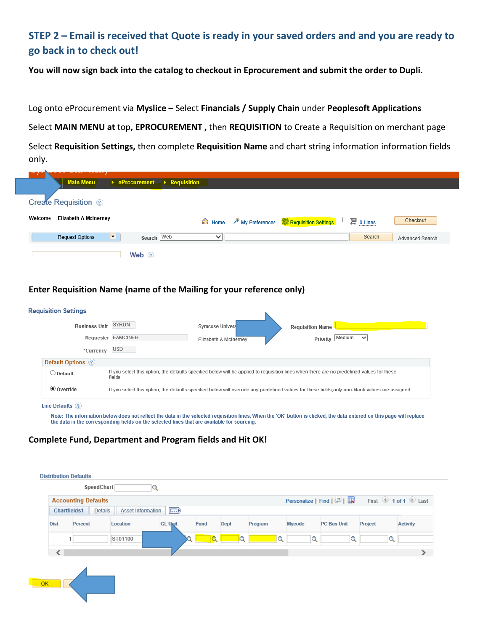# **STEP 2 – Email is received that Quote is ready in your saved orders and and you are ready to go back in to check out!**

**You will now sign back into the catalog to checkout in Eprocurement and submit the order to Dupli.**

Log onto eProcurement via **Myslice –** Select **Financials / Supply Chain** under **Peoplesoft Applications**

Select **MAIN MENU at** top**, EPROCUREMENT ,** then **REQUISITION** to Create a Requisition on merchant page

Select **Requisition Settings,** then complete **Requisition Name** and chart string information information fields only.

| <b>Main Menu</b>                        | $\rightarrow$ eProcurement $\rightarrow$ Requisition                                                       |                 |
|-----------------------------------------|------------------------------------------------------------------------------------------------------------|-----------------|
| <b>Create Requisition</b> ?             |                                                                                                            |                 |
| <b>Elizabeth A McInerney</b><br>Welcome | 潭 0 Lines<br><b><del><sup>⊁</sup>My Preferences</del> <sup>\$</sup> Requisition Settings</b><br>e Home<br> | Checkout        |
| H<br><b>Request Options</b>             | Search Web<br>Search<br>$\check{ }$                                                                        | Advanced Search |
| Web $\odot$                             |                                                                                                            |                 |

### **Enter Requisition Name (name of the Mailing for your reference only)**

| <b>Requisition Settings</b>                                                                                                                                                               |
|-------------------------------------------------------------------------------------------------------------------------------------------------------------------------------------------|
| SYRUN<br><b>Business Unit</b><br>Syracuse Univers<br><b>Requisition Name</b><br>Requester EAMCINER<br>Priority Medium<br>$\checkmark$<br>Elizabeth A McInerney<br><b>USD</b><br>*Currency |
| Default Options (?)                                                                                                                                                                       |
| If you select this option, the defaults specified below will be applied to requisition lines when there are no predefined values for these<br>$\bigcirc$ Default<br>fields.               |
| <b>◎</b> Override<br>If you select this option, the defaults specified below will override any predefined values for these fields only non-blank values are assigned.                     |
| Line Defaults (?)                                                                                                                                                                         |

the data in the corresponding fields on the selected lines that are available for sourcing.

### **Complete Fund, Department and Program fields and Hit OK!**

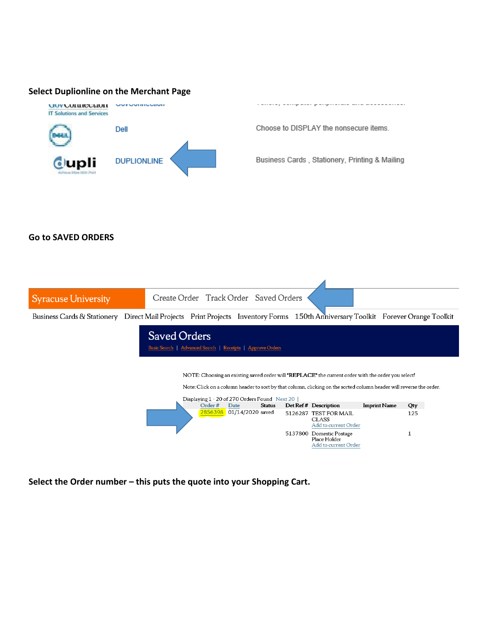#### **Select Duplionline on the Merchant Page**



Choose to DISPLAY the nonsecure items.

Business Cards, Stationery, Printing & Mailing

#### **Go to SAVED ORDERS**



**Select the Order number – this puts the quote into your Shopping Cart.**